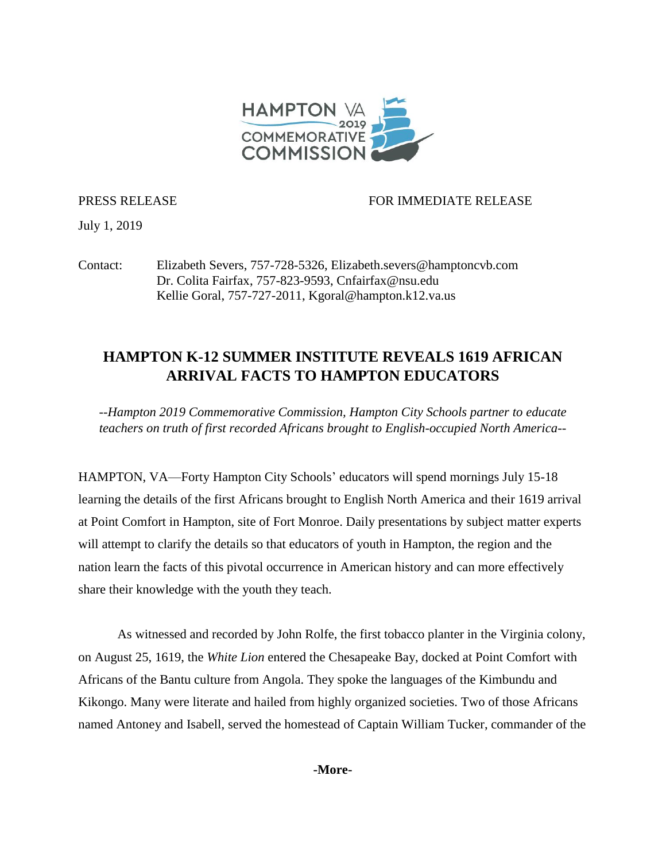

PRESS RELEASE FOR IMMEDIATE RELEASE

July 1, 2019

Contact: Elizabeth Severs, 757-728-5326, Elizabeth.severs@hamptoncvb.com Dr. Colita Fairfax, 757-823-9593, Cnfairfax@nsu.edu Kellie Goral, 757-727-2011, [Kgoral@hampton.k12.va.us](mailto:Kgoral@hampton.k12.va.us)

## **HAMPTON K-12 SUMMER INSTITUTE REVEALS 1619 AFRICAN ARRIVAL FACTS TO HAMPTON EDUCATORS**

*--Hampton 2019 Commemorative Commission, Hampton City Schools partner to educate teachers on truth of first recorded Africans brought to English-occupied North America--*

HAMPTON, VA—Forty Hampton City Schools' educators will spend mornings July 15-18 learning the details of the first Africans brought to English North America and their 1619 arrival at Point Comfort in Hampton, site of Fort Monroe. Daily presentations by subject matter experts will attempt to clarify the details so that educators of youth in Hampton, the region and the nation learn the facts of this pivotal occurrence in American history and can more effectively share their knowledge with the youth they teach.

As witnessed and recorded by John Rolfe, the first tobacco planter in the Virginia colony, on August 25, 1619, the *White Lion* entered the Chesapeake Bay, docked at Point Comfort with Africans of the Bantu culture from Angola. They spoke the languages of the Kimbundu and Kikongo. Many were literate and hailed from highly organized societies. Two of those Africans named Antoney and Isabell, served the homestead of Captain William Tucker, commander of the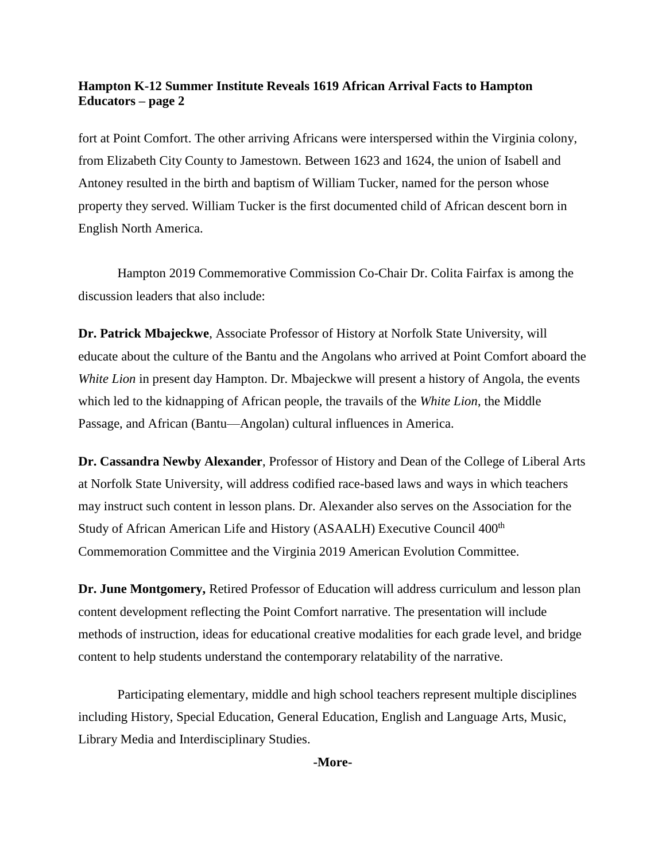## **Hampton K-12 Summer Institute Reveals 1619 African Arrival Facts to Hampton Educators – page 2**

fort at Point Comfort. The other arriving Africans were interspersed within the Virginia colony, from Elizabeth City County to Jamestown. Between 1623 and 1624, the union of Isabell and Antoney resulted in the birth and baptism of William Tucker, named for the person whose property they served. William Tucker is the first documented child of African descent born in English North America.

Hampton 2019 Commemorative Commission Co-Chair Dr. Colita Fairfax is among the discussion leaders that also include:

**Dr. Patrick Mbajeckwe**, Associate Professor of History at Norfolk State University, will educate about the culture of the Bantu and the Angolans who arrived at Point Comfort aboard the *White Lion* in present day Hampton. Dr. Mbajeckwe will present a history of Angola, the events which led to the kidnapping of African people, the travails of the *White Lion*, the Middle Passage, and African (Bantu—Angolan) cultural influences in America.

**Dr. Cassandra Newby Alexander**, Professor of History and Dean of the College of Liberal Arts at Norfolk State University, will address codified race-based laws and ways in which teachers may instruct such content in lesson plans. Dr. Alexander also serves on the Association for the Study of African American Life and History (ASAALH) Executive Council 400<sup>th</sup> Commemoration Committee and the Virginia 2019 American Evolution Committee.

**Dr. June Montgomery,** Retired Professor of Education will address curriculum and lesson plan content development reflecting the Point Comfort narrative. The presentation will include methods of instruction, ideas for educational creative modalities for each grade level, and bridge content to help students understand the contemporary relatability of the narrative.

Participating elementary, middle and high school teachers represent multiple disciplines including History, Special Education, General Education, English and Language Arts, Music, Library Media and Interdisciplinary Studies.

**-More-**